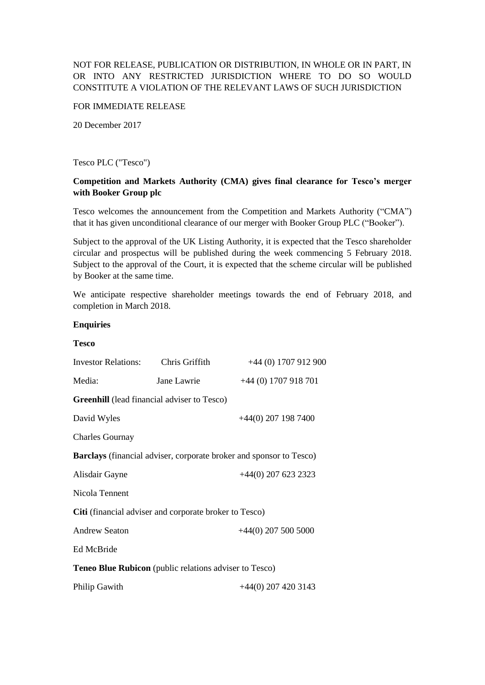# NOT FOR RELEASE, PUBLICATION OR DISTRIBUTION, IN WHOLE OR IN PART, IN OR INTO ANY RESTRICTED JURISDICTION WHERE TO DO SO WOULD CONSTITUTE A VIOLATION OF THE RELEVANT LAWS OF SUCH JURISDICTION

#### FOR IMMEDIATE RELEASE

20 December 2017

#### Tesco PLC ("Tesco")

# **Competition and Markets Authority (CMA) gives final clearance for Tesco's merger with Booker Group plc**

Tesco welcomes the announcement from the Competition and Markets Authority ("CMA") that it has given unconditional clearance of our merger with Booker Group PLC ("Booker").

Subject to the approval of the UK Listing Authority, it is expected that the Tesco shareholder circular and prospectus will be published during the week commencing 5 February 2018. Subject to the approval of the Court, it is expected that the scheme circular will be published by Booker at the same time.

We anticipate respective shareholder meetings towards the end of February 2018, and completion in March 2018.

#### **Enquiries**

| <b>Tesco</b>                                                  |                |                                                                            |
|---------------------------------------------------------------|----------------|----------------------------------------------------------------------------|
| <b>Investor Relations:</b>                                    | Chris Griffith | +44 (0) 1707 912 900                                                       |
| Media:                                                        | Jane Lawrie    | $+44(0)$ 1707 918 701                                                      |
| <b>Greenhill</b> (lead financial adviser to Tesco)            |                |                                                                            |
| David Wyles                                                   |                | $+44(0)$ 207 198 7400                                                      |
| <b>Charles Gournay</b>                                        |                |                                                                            |
|                                                               |                | <b>Barclays</b> (financial adviser, corporate broker and sponsor to Tesco) |
| Alisdair Gayne                                                |                | +44(0) 207 623 2323                                                        |
| Nicola Tennent                                                |                |                                                                            |
| Citi (financial adviser and corporate broker to Tesco)        |                |                                                                            |
| <b>Andrew Seaton</b>                                          |                | $+44(0)$ 207 500 5000                                                      |
| Ed McBride                                                    |                |                                                                            |
| <b>Teneo Blue Rubicon</b> (public relations adviser to Tesco) |                |                                                                            |
| Philip Gawith                                                 |                | $+44(0)$ 207 420 3143                                                      |
|                                                               |                |                                                                            |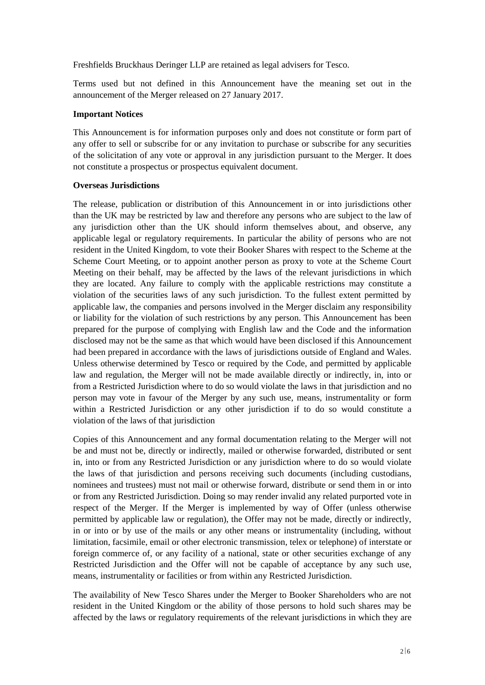Freshfields Bruckhaus Deringer LLP are retained as legal advisers for Tesco.

Terms used but not defined in this Announcement have the meaning set out in the announcement of the Merger released on 27 January 2017.

### **Important Notices**

This Announcement is for information purposes only and does not constitute or form part of any offer to sell or subscribe for or any invitation to purchase or subscribe for any securities of the solicitation of any vote or approval in any jurisdiction pursuant to the Merger. It does not constitute a prospectus or prospectus equivalent document.

# **Overseas Jurisdictions**

The release, publication or distribution of this Announcement in or into jurisdictions other than the UK may be restricted by law and therefore any persons who are subject to the law of any jurisdiction other than the UK should inform themselves about, and observe, any applicable legal or regulatory requirements. In particular the ability of persons who are not resident in the United Kingdom, to vote their Booker Shares with respect to the Scheme at the Scheme Court Meeting, or to appoint another person as proxy to vote at the Scheme Court Meeting on their behalf, may be affected by the laws of the relevant jurisdictions in which they are located. Any failure to comply with the applicable restrictions may constitute a violation of the securities laws of any such jurisdiction. To the fullest extent permitted by applicable law, the companies and persons involved in the Merger disclaim any responsibility or liability for the violation of such restrictions by any person. This Announcement has been prepared for the purpose of complying with English law and the Code and the information disclosed may not be the same as that which would have been disclosed if this Announcement had been prepared in accordance with the laws of jurisdictions outside of England and Wales. Unless otherwise determined by Tesco or required by the Code, and permitted by applicable law and regulation, the Merger will not be made available directly or indirectly, in, into or from a Restricted Jurisdiction where to do so would violate the laws in that jurisdiction and no person may vote in favour of the Merger by any such use, means, instrumentality or form within a Restricted Jurisdiction or any other jurisdiction if to do so would constitute a violation of the laws of that jurisdiction

Copies of this Announcement and any formal documentation relating to the Merger will not be and must not be, directly or indirectly, mailed or otherwise forwarded, distributed or sent in, into or from any Restricted Jurisdiction or any jurisdiction where to do so would violate the laws of that jurisdiction and persons receiving such documents (including custodians, nominees and trustees) must not mail or otherwise forward, distribute or send them in or into or from any Restricted Jurisdiction. Doing so may render invalid any related purported vote in respect of the Merger. If the Merger is implemented by way of Offer (unless otherwise permitted by applicable law or regulation), the Offer may not be made, directly or indirectly, in or into or by use of the mails or any other means or instrumentality (including, without limitation, facsimile, email or other electronic transmission, telex or telephone) of interstate or foreign commerce of, or any facility of a national, state or other securities exchange of any Restricted Jurisdiction and the Offer will not be capable of acceptance by any such use, means, instrumentality or facilities or from within any Restricted Jurisdiction.

The availability of New Tesco Shares under the Merger to Booker Shareholders who are not resident in the United Kingdom or the ability of those persons to hold such shares may be affected by the laws or regulatory requirements of the relevant jurisdictions in which they are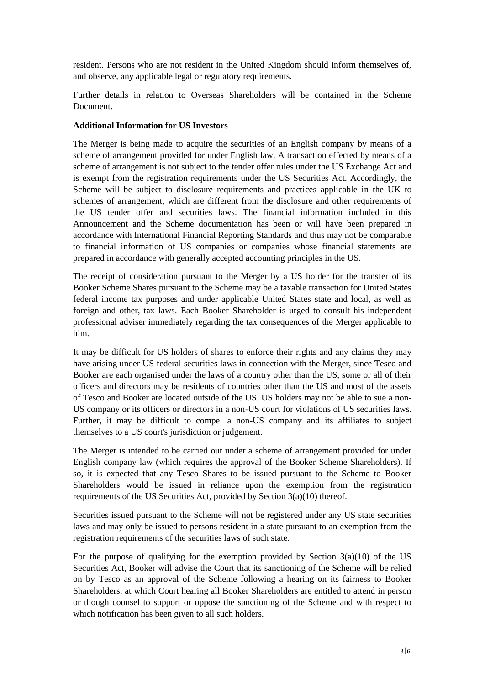resident. Persons who are not resident in the United Kingdom should inform themselves of, and observe, any applicable legal or regulatory requirements.

Further details in relation to Overseas Shareholders will be contained in the Scheme Document.

# **Additional Information for US Investors**

The Merger is being made to acquire the securities of an English company by means of a scheme of arrangement provided for under English law. A transaction effected by means of a scheme of arrangement is not subject to the tender offer rules under the US Exchange Act and is exempt from the registration requirements under the US Securities Act. Accordingly, the Scheme will be subject to disclosure requirements and practices applicable in the UK to schemes of arrangement, which are different from the disclosure and other requirements of the US tender offer and securities laws. The financial information included in this Announcement and the Scheme documentation has been or will have been prepared in accordance with International Financial Reporting Standards and thus may not be comparable to financial information of US companies or companies whose financial statements are prepared in accordance with generally accepted accounting principles in the US.

The receipt of consideration pursuant to the Merger by a US holder for the transfer of its Booker Scheme Shares pursuant to the Scheme may be a taxable transaction for United States federal income tax purposes and under applicable United States state and local, as well as foreign and other, tax laws. Each Booker Shareholder is urged to consult his independent professional adviser immediately regarding the tax consequences of the Merger applicable to him.

It may be difficult for US holders of shares to enforce their rights and any claims they may have arising under US federal securities laws in connection with the Merger, since Tesco and Booker are each organised under the laws of a country other than the US, some or all of their officers and directors may be residents of countries other than the US and most of the assets of Tesco and Booker are located outside of the US. US holders may not be able to sue a non-US company or its officers or directors in a non-US court for violations of US securities laws. Further, it may be difficult to compel a non-US company and its affiliates to subject themselves to a US court's jurisdiction or judgement.

The Merger is intended to be carried out under a scheme of arrangement provided for under English company law (which requires the approval of the Booker Scheme Shareholders). If so, it is expected that any Tesco Shares to be issued pursuant to the Scheme to Booker Shareholders would be issued in reliance upon the exemption from the registration requirements of the US Securities Act, provided by Section 3(a)(10) thereof.

Securities issued pursuant to the Scheme will not be registered under any US state securities laws and may only be issued to persons resident in a state pursuant to an exemption from the registration requirements of the securities laws of such state.

For the purpose of qualifying for the exemption provided by Section  $3(a)(10)$  of the US Securities Act, Booker will advise the Court that its sanctioning of the Scheme will be relied on by Tesco as an approval of the Scheme following a hearing on its fairness to Booker Shareholders, at which Court hearing all Booker Shareholders are entitled to attend in person or though counsel to support or oppose the sanctioning of the Scheme and with respect to which notification has been given to all such holders.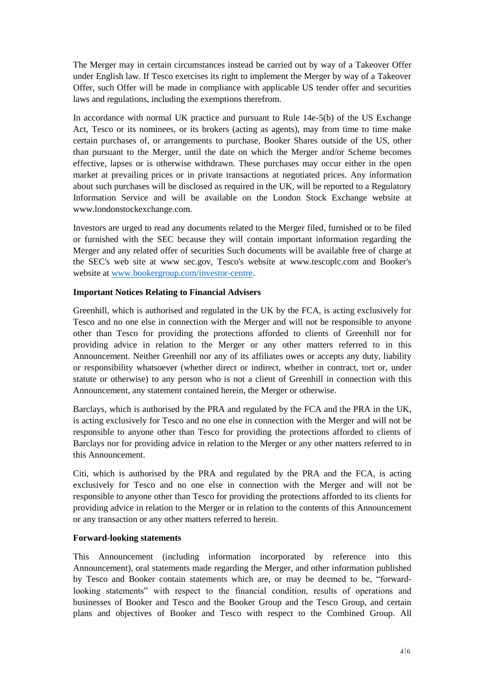The Merger may in certain circumstances instead be carried out by way of a Takeover Offer under English law. If Tesco exercises its right to implement the Merger by way of a Takeover Offer, such Offer will be made in compliance with applicable US tender offer and securities laws and regulations, including the exemptions therefrom.

In accordance with normal UK practice and pursuant to Rule 14e-5(b) of the US Exchange Act, Tesco or its nominees, or its brokers (acting as agents), may from time to time make certain purchases of, or arrangements to purchase, Booker Shares outside of the US, other than pursuant to the Merger, until the date on which the Merger and/or Scheme becomes effective, lapses or is otherwise withdrawn. These purchases may occur either in the open market at prevailing prices or in private transactions at negotiated prices. Any information about such purchases will be disclosed as required in the UK, will be reported to a Regulatory Information Service and will be available on the London Stock Exchange website at www.londonstockexchange.com.

Investors are urged to read any documents related to the Merger filed, furnished or to be filed or furnished with the SEC because they will contain important information regarding the Merger and any related offer of securities Such documents will be available free of charge at the SEC's web site at www sec.gov, Tesco's website at www.tescoplc.com and Booker's website at [www.bookergroup.com/investor-centre.](http://www.bookergroup.com/investor-centre)

# **Important Notices Relating to Financial Advisers**

Greenhill, which is authorised and regulated in the UK by the FCA, is acting exclusively for Tesco and no one else in connection with the Merger and will not be responsible to anyone other than Tesco for providing the protections afforded to clients of Greenhill nor for providing advice in relation to the Merger or any other matters referred to in this Announcement. Neither Greenhill nor any of its affiliates owes or accepts any duty, liability or responsibility whatsoever (whether direct or indirect, whether in contract, tort or, under statute or otherwise) to any person who is not a client of Greenhill in connection with this Announcement, any statement contained herein, the Merger or otherwise.

Barclays, which is authorised by the PRA and regulated by the FCA and the PRA in the UK, is acting exclusively for Tesco and no one else in connection with the Merger and will not be responsible to anyone other than Tesco for providing the protections afforded to clients of Barclays nor for providing advice in relation to the Merger or any other matters referred to in this Announcement.

Citi, which is authorised by the PRA and regulated by the PRA and the FCA, is acting exclusively for Tesco and no one else in connection with the Merger and will not be responsible to anyone other than Tesco for providing the protections afforded to its clients for providing advice in relation to the Merger or in relation to the contents of this Announcement or any transaction or any other matters referred to herein.

### **Forward-looking statements**

This Announcement (including information incorporated by reference into this Announcement), oral statements made regarding the Merger, and other information published by Tesco and Booker contain statements which are, or may be deemed to be, "forwardlooking statements" with respect to the financial condition, results of operations and businesses of Booker and Tesco and the Booker Group and the Tesco Group, and certain plans and objectives of Booker and Tesco with respect to the Combined Group. All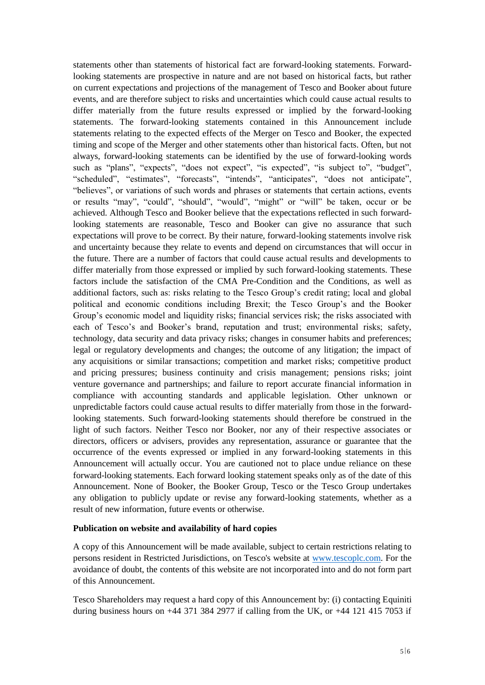statements other than statements of historical fact are forward-looking statements. Forwardlooking statements are prospective in nature and are not based on historical facts, but rather on current expectations and projections of the management of Tesco and Booker about future events, and are therefore subject to risks and uncertainties which could cause actual results to differ materially from the future results expressed or implied by the forward-looking statements. The forward-looking statements contained in this Announcement include statements relating to the expected effects of the Merger on Tesco and Booker, the expected timing and scope of the Merger and other statements other than historical facts. Often, but not always, forward-looking statements can be identified by the use of forward-looking words such as "plans", "expects", "does not expect", "is expected", "is subject to", "budget", "scheduled", "estimates", "forecasts", "intends", "anticipates", "does not anticipate", "believes", or variations of such words and phrases or statements that certain actions, events or results "may", "could", "should", "would", "might" or "will" be taken, occur or be achieved. Although Tesco and Booker believe that the expectations reflected in such forwardlooking statements are reasonable, Tesco and Booker can give no assurance that such expectations will prove to be correct. By their nature, forward-looking statements involve risk and uncertainty because they relate to events and depend on circumstances that will occur in the future. There are a number of factors that could cause actual results and developments to differ materially from those expressed or implied by such forward-looking statements. These factors include the satisfaction of the CMA Pre-Condition and the Conditions, as well as additional factors, such as: risks relating to the Tesco Group's credit rating; local and global political and economic conditions including Brexit; the Tesco Group's and the Booker Group's economic model and liquidity risks; financial services risk; the risks associated with each of Tesco's and Booker's brand, reputation and trust; environmental risks; safety, technology, data security and data privacy risks; changes in consumer habits and preferences; legal or regulatory developments and changes; the outcome of any litigation; the impact of any acquisitions or similar transactions; competition and market risks; competitive product and pricing pressures; business continuity and crisis management; pensions risks; joint venture governance and partnerships; and failure to report accurate financial information in compliance with accounting standards and applicable legislation. Other unknown or unpredictable factors could cause actual results to differ materially from those in the forwardlooking statements. Such forward-looking statements should therefore be construed in the light of such factors. Neither Tesco nor Booker, nor any of their respective associates or directors, officers or advisers, provides any representation, assurance or guarantee that the occurrence of the events expressed or implied in any forward-looking statements in this Announcement will actually occur. You are cautioned not to place undue reliance on these forward-looking statements. Each forward looking statement speaks only as of the date of this Announcement. None of Booker, the Booker Group, Tesco or the Tesco Group undertakes any obligation to publicly update or revise any forward-looking statements, whether as a result of new information, future events or otherwise.

### **Publication on website and availability of hard copies**

A copy of this Announcement will be made available, subject to certain restrictions relating to persons resident in Restricted Jurisdictions, on Tesco's website at [www.tescoplc.com.](http://www.tescoplc.com/) For the avoidance of doubt, the contents of this website are not incorporated into and do not form part of this Announcement.

Tesco Shareholders may request a hard copy of this Announcement by: (i) contacting Equiniti during business hours on  $+44$  371 384 2977 if calling from the UK, or  $+44$  121 415 7053 if